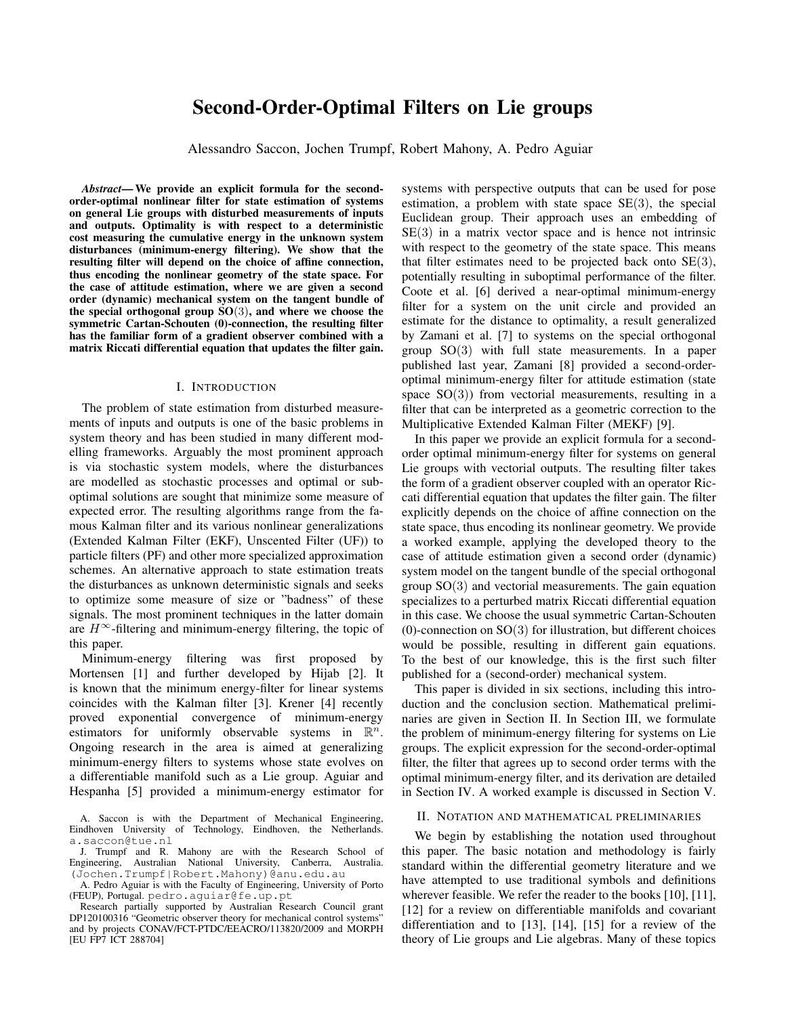# Second-Order-Optimal Filters on Lie groups

Alessandro Saccon, Jochen Trumpf, Robert Mahony, A. Pedro Aguiar

*Abstract*— We provide an explicit formula for the secondorder-optimal nonlinear filter for state estimation of systems on general Lie groups with disturbed measurements of inputs and outputs. Optimality is with respect to a deterministic cost measuring the cumulative energy in the unknown system disturbances (minimum-energy filtering). We show that the resulting filter will depend on the choice of affine connection, thus encoding the nonlinear geometry of the state space. For the case of attitude estimation, where we are given a second order (dynamic) mechanical system on the tangent bundle of the special orthogonal group  $SO(3)$ , and where we choose the symmetric Cartan-Schouten (0)-connection, the resulting filter has the familiar form of a gradient observer combined with a matrix Riccati differential equation that updates the filter gain.

#### I. INTRODUCTION

The problem of state estimation from disturbed measurements of inputs and outputs is one of the basic problems in system theory and has been studied in many different modelling frameworks. Arguably the most prominent approach is via stochastic system models, where the disturbances are modelled as stochastic processes and optimal or suboptimal solutions are sought that minimize some measure of expected error. The resulting algorithms range from the famous Kalman filter and its various nonlinear generalizations (Extended Kalman Filter (EKF), Unscented Filter (UF)) to particle filters (PF) and other more specialized approximation schemes. An alternative approach to state estimation treats the disturbances as unknown deterministic signals and seeks to optimize some measure of size or "badness" of these signals. The most prominent techniques in the latter domain are  $H^{\infty}$ -filtering and minimum-energy filtering, the topic of this paper.

Minimum-energy filtering was first proposed by Mortensen [1] and further developed by Hijab [2]. It is known that the minimum energy-filter for linear systems coincides with the Kalman filter [3]. Krener [4] recently proved exponential convergence of minimum-energy estimators for uniformly observable systems in  $\mathbb{R}^n$ . Ongoing research in the area is aimed at generalizing minimum-energy filters to systems whose state evolves on a differentiable manifold such as a Lie group. Aguiar and Hespanha [5] provided a minimum-energy estimator for

systems with perspective outputs that can be used for pose estimation, a problem with state space  $SE(3)$ , the special Euclidean group. Their approach uses an embedding of  $SE(3)$  in a matrix vector space and is hence not intrinsic with respect to the geometry of the state space. This means that filter estimates need to be projected back onto  $SE(3)$ , potentially resulting in suboptimal performance of the filter. Coote et al. [6] derived a near-optimal minimum-energy filter for a system on the unit circle and provided an estimate for the distance to optimality, a result generalized by Zamani et al. [7] to systems on the special orthogonal group SO(3) with full state measurements. In a paper published last year, Zamani [8] provided a second-orderoptimal minimum-energy filter for attitude estimation (state space  $SO(3)$ ) from vectorial measurements, resulting in a filter that can be interpreted as a geometric correction to the Multiplicative Extended Kalman Filter (MEKF) [9].

In this paper we provide an explicit formula for a secondorder optimal minimum-energy filter for systems on general Lie groups with vectorial outputs. The resulting filter takes the form of a gradient observer coupled with an operator Riccati differential equation that updates the filter gain. The filter explicitly depends on the choice of affine connection on the state space, thus encoding its nonlinear geometry. We provide a worked example, applying the developed theory to the case of attitude estimation given a second order (dynamic) system model on the tangent bundle of the special orthogonal group  $SO(3)$  and vectorial measurements. The gain equation specializes to a perturbed matrix Riccati differential equation in this case. We choose the usual symmetric Cartan-Schouten  $(0)$ -connection on SO $(3)$  for illustration, but different choices would be possible, resulting in different gain equations. To the best of our knowledge, this is the first such filter published for a (second-order) mechanical system.

This paper is divided in six sections, including this introduction and the conclusion section. Mathematical preliminaries are given in Section II. In Section III, we formulate the problem of minimum-energy filtering for systems on Lie groups. The explicit expression for the second-order-optimal filter, the filter that agrees up to second order terms with the optimal minimum-energy filter, and its derivation are detailed in Section IV. A worked example is discussed in Section V.

# II. NOTATION AND MATHEMATICAL PRELIMINARIES

We begin by establishing the notation used throughout this paper. The basic notation and methodology is fairly standard within the differential geometry literature and we have attempted to use traditional symbols and definitions wherever feasible. We refer the reader to the books [10], [11], [12] for a review on differentiable manifolds and covariant differentiation and to [13], [14], [15] for a review of the theory of Lie groups and Lie algebras. Many of these topics

A. Saccon is with the Department of Mechanical Engineering, Eindhoven University of Technology, Eindhoven, the Netherlands. a.saccon@tue.nl

J. Trumpf and R. Mahony are with the Research School of Engineering, Australian National University, Canberra, Australia. (Jochen.Trumpf|Robert.Mahony)@anu.edu.au

A. Pedro Aguiar is with the Faculty of Engineering, University of Porto (FEUP), Portugal. pedro.aguiar@fe.up.pt

Research partially supported by Australian Research Council grant DP120100316 "Geometric observer theory for mechanical control systems" and by projects CONAV/FCT-PTDC/EEACRO/113820/2009 and MORPH [EU FP7 ICT 288704]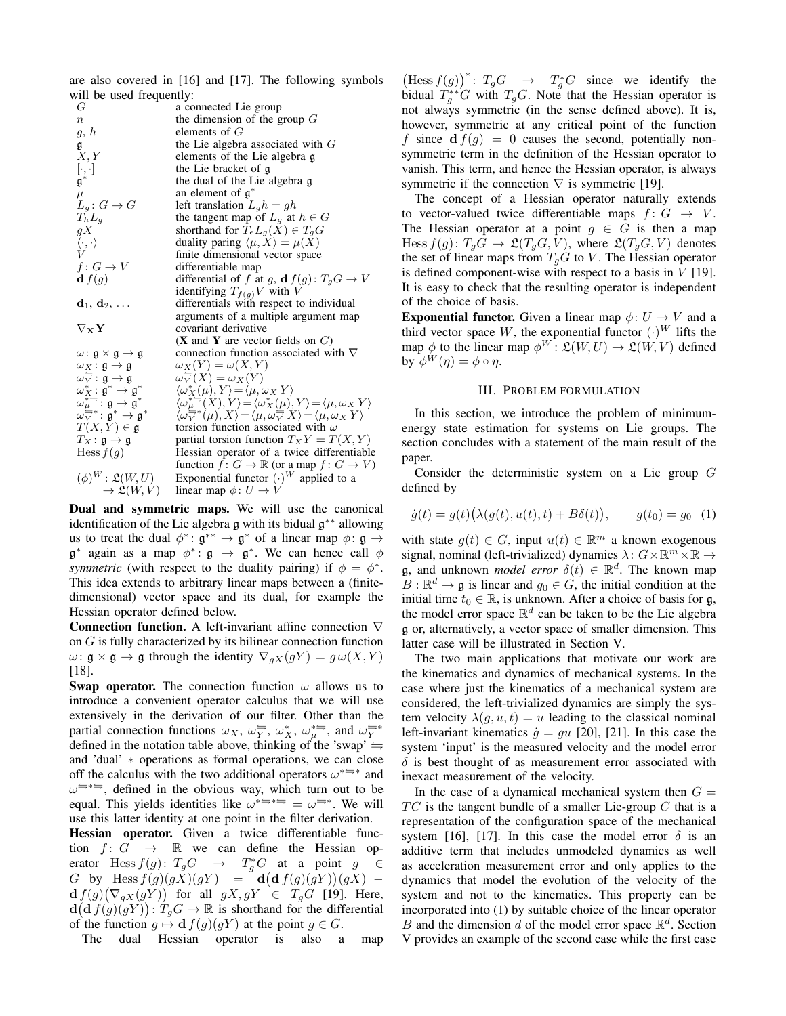are also covered in [16] and [17]. The following symbols will be used frequently:<br> $G$  a co

a connected Lie group  $n$  the dimension of the group  $G$  $g, h$  elements of  $G$ g the Lie algebra associated with  $G$ <br> $X, Y$  elements of the Lie algebra g elements of the Lie algebra g the Lie bracket of g g ∗ the dual of the Lie algebra g  $\mu$  an element of  $\mathfrak{g}^*$  $L_g: G \to G$  an element of  $\mathfrak{g}^*$ <br>  $L_g: G \to G$  left translation  $L_g h = gh$ <br>
the tangent map of  $L_g$  at  $T_h L_g$  the tangent map of  $L_g$  at  $h \in G$ <br>gX shorthand for  $T_e L_g(X) \in T_g G$ gX<br>
shorthand for  $T_e L_g(X) \in T_g G$ <br>  $\langle \cdot, \cdot \rangle$ <br>
duality paring  $\langle \mu, X \rangle = \mu(X)$ <br>  $V$ <br>
finite dimensional vector space duality paring  $\langle \mu, X \rangle = \mu(X)$  $V$  finite dimensional vector space<br>  $f: G \to V$  differentiable map differentiable map  $\mathbf{d} f(g)$  differential of f at g,  $\mathbf{d} f(g) \colon T_g G \to V$ identifying  $T_{f(g)}V$  with V  $d_1, d_2, \ldots$  differentials with respect to individual arguments of a multiple argument map  $\nabla_{\mathbf{X}} \mathbf{Y}$  covariant derivative (**X** and **Y** are vector fields on  $G$ )  $\omega: \mathfrak{g} \times \mathfrak{g} \to \mathfrak{g}$  connection function associated with  $\nabla$  $\omega_X : \mathfrak{g} \to \mathfrak{g}$   $\omega_X(Y) = \omega(X, Y)$  $\omega \frac{\Box}{Y} : \mathfrak{g} \to \mathfrak{g}$   $\omega$  $\frac{X}{Y}(X) = \omega_X(Y)$  $\omega_X^\ast\colon \mathfrak{g}^\ast\to \mathfrak{g}^\ast$  $\langle \omega_X^*(\mu), Y \rangle = \langle \mu, \omega_X Y \rangle$  $\omega_{\mu}^{*} = \vdots$  g  $\rightarrow$  g<sup>\*</sup>  $\langle \omega_{\mu}^{*}(\overline{X}), Y \rangle = \langle \omega_{X}^{*}(\mu), Y \rangle = \langle \mu, \omega_{X} Y \rangle$  $\omega_Y^{\mu\over\cdots}*\colon \mathfrak{g}^*\to \mathfrak{g}^*$  $\langle \omega \frac{\mu}{Y} * (\mu), X \rangle = \langle \mu, \omega \frac{\langle \mu \rangle}{Y} X \rangle = \langle \mu, \omega X Y \rangle$  $T(X, Y) \in \mathfrak{g}$  torsion function associated with  $\omega$ <br>  $T_X : \mathfrak{g} \to \mathfrak{g}$  partial torsion function  $T_X Y = T$ <br>
Hess  $f(g)$  Hessian operator of a twice differ partial torsion function  $T_X Y = T(X, Y)$ Hessian operator of a twice differentiable function  $\hat{f}$ :  $G \to \mathbb{R}$  (or a map  $f : G \to V$ )  $(\phi)^W$ :  $\mathfrak{L}(W,U)$  $W: \mathfrak{L}(W, U)$  Exponential functor  $(\cdot)^W$  applied to a  $\rightarrow \mathfrak{L}(W, V)$  linear map  $\phi: U \rightarrow V$ 

Dual and symmetric maps. We will use the canonical identification of the Lie algebra g with its bidual g ∗∗ allowing us to treat the dual  $\phi^* : \mathfrak{g}^{**} \to \mathfrak{g}^*$  of a linear map  $\phi : \mathfrak{g} \to$  $\mathfrak{g}^*$  again as a map  $\phi^* \colon \mathfrak{g} \to \mathfrak{g}^*$ . We can hence call  $\phi$ *symmetric* (with respect to the duality pairing) if  $\phi = \phi^*$ . This idea extends to arbitrary linear maps between a (finitedimensional) vector space and its dual, for example the Hessian operator defined below.

Connection function. A left-invariant affine connection ∇ on G is fully characterized by its bilinear connection function  $\omega: \mathfrak{g} \times \mathfrak{g} \to \mathfrak{g}$  through the identity  $\nabla_{qX}(qY) = g\omega(X, Y)$ [18].

**Swap operator.** The connection function  $\omega$  allows us to introduce a convenient operator calculus that we will use extensively in the derivation of our filter. Other than the partial connection functions  $\omega_X$ ,  $\omega_Y^{\leftrightharpoons}$ ,  $\omega_X^*$ ,  $\omega_\mu^{*\leftrightharpoons}$ , and  $\omega_Y^{\leftrightharpoons*}$ defined in the notation table above, thinking of the 'swap'  $\leftrightharpoons$ and 'dual' ∗ operations as formal operations, we can close off the calculus with the two additional operators  $\omega^{* \rightleftharpoons * }$  and  $\omega$ <sup> $\leftrightarrow$   $\div$ </sup>, defined in the obvious way, which turn out to be equal. This yields identities like  $\omega^{* \rightleftharpoons *} = \omega^{*}$ . We will use this latter identity at one point in the filter derivation.

Hessian operator. Given a twice differentiable function  $f: G \rightarrow \mathbb{R}$  we can define the Hessian operator Hess  $f(g)$ :  $T_g G \rightarrow T_g^* G$  at a point  $g \in$ G by Hess  $f(g)(gX)(gY) = d(d f(g)(gY))(gX)$  $df(g)(\nabla_{gX}(gY))$  for all  $gX, gY \in T_gG$  [19]. Here,  $d(d f(g)(gY))$ :  $T_gG \to \mathbb{R}$  is shorthand for the differential of the function  $g \mapsto d f(g)(gY)$  at the point  $g \in G$ .

The dual Hessian operator is also a map

 $\left(\text{Hess } f(g)\right)^*$ :  $T_g G \to T_g^* G$  since we identify the bidual  $T_g^* G$  with  $T_g G$ . Note that the Hessian operator is not always symmetric (in the sense defined above). It is, however, symmetric at any critical point of the function f since  $df(g) = 0$  causes the second, potentially nonsymmetric term in the definition of the Hessian operator to vanish. This term, and hence the Hessian operator, is always symmetric if the connection  $\nabla$  is symmetric [19].

The concept of a Hessian operator naturally extends to vector-valued twice differentiable maps  $f: G \rightarrow V$ . The Hessian operator at a point  $g \in G$  is then a map Hess  $f(g) \colon T_g G \to \mathfrak{L}(T_g G, V)$ , where  $\mathfrak{L}(T_g G, V)$  denotes the set of linear maps from  $T_qG$  to V. The Hessian operator is defined component-wise with respect to a basis in  $V$  [19]. It is easy to check that the resulting operator is independent of the choice of basis.

**Exponential functor.** Given a linear map  $\phi: U \to V$  and a third vector space W, the exponential functor  $(\cdot)^W$  lifts the map  $\phi$  to the linear map  $\phi^W$ :  $\mathfrak{L}(W, U) \to \mathfrak{L}(W, V)$  defined by  $\phi^W(\eta) = \phi \circ \eta$ .

#### III. PROBLEM FORMULATION

In this section, we introduce the problem of minimumenergy state estimation for systems on Lie groups. The section concludes with a statement of the main result of the paper.

Consider the deterministic system on a Lie group G defined by

$$
\dot{g}(t) = g(t) (\lambda(g(t), u(t), t) + B\delta(t)), \qquad g(t_0) = g_0 \quad (1)
$$

with state  $g(t) \in G$ , input  $u(t) \in \mathbb{R}^m$  a known exogenous signal, nominal (left-trivialized) dynamics  $\lambda: G\times\mathbb{R}^m\times\mathbb{R}\to$ g, and unknown *model error*  $\delta(t) \in \mathbb{R}^d$ . The known map  $B: \mathbb{R}^d \to \mathfrak{g}$  is linear and  $g_0 \in G$ , the initial condition at the initial time  $t_0 \in \mathbb{R}$ , is unknown. After a choice of basis for g, the model error space  $\mathbb{R}^d$  can be taken to be the Lie algebra g or, alternatively, a vector space of smaller dimension. This latter case will be illustrated in Section V.

The two main applications that motivate our work are the kinematics and dynamics of mechanical systems. In the case where just the kinematics of a mechanical system are considered, the left-trivialized dynamics are simply the system velocity  $\lambda(q, u, t) = u$  leading to the classical nominal left-invariant kinematics  $\dot{g} = gu$  [20], [21]. In this case the system 'input' is the measured velocity and the model error  $\delta$  is best thought of as measurement error associated with inexact measurement of the velocity.

In the case of a dynamical mechanical system then  $G =$  $TC$  is the tangent bundle of a smaller Lie-group  $C$  that is a representation of the configuration space of the mechanical system [16], [17]. In this case the model error  $\delta$  is an additive term that includes unmodeled dynamics as well as acceleration measurement error and only applies to the dynamics that model the evolution of the velocity of the system and not to the kinematics. This property can be incorporated into (1) by suitable choice of the linear operator B and the dimension d of the model error space  $\mathbb{R}^d$ . Section V provides an example of the second case while the first case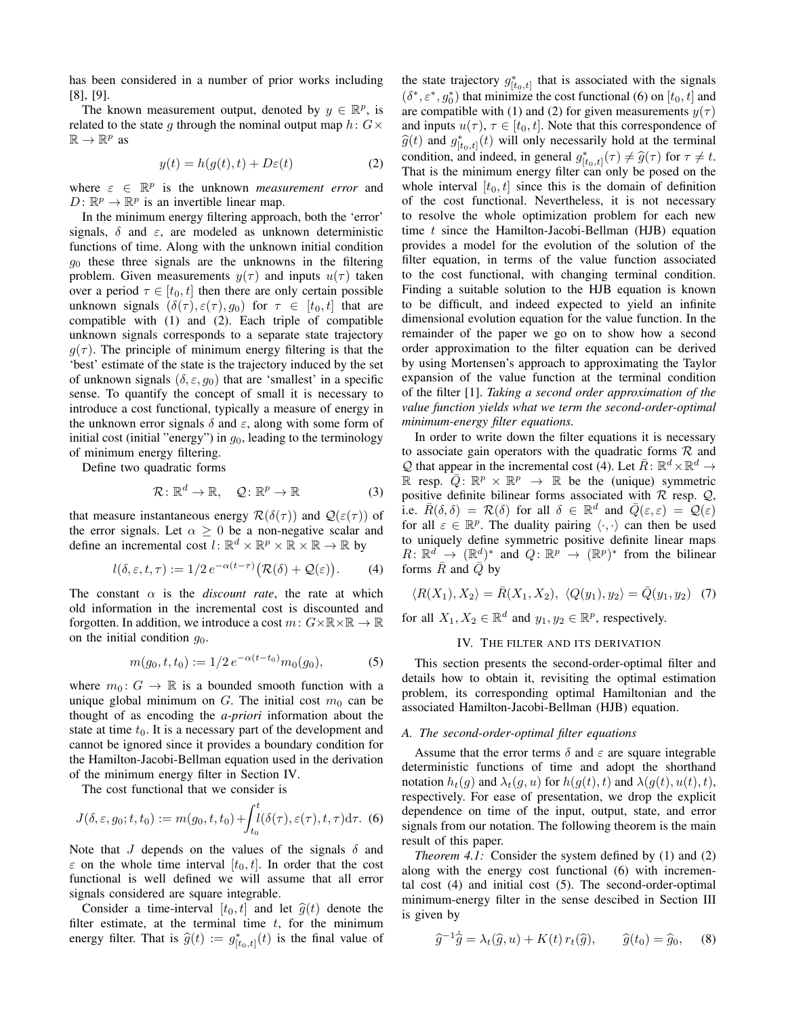has been considered in a number of prior works including [8], [9].

The known measurement output, denoted by  $y \in \mathbb{R}^p$ , is related to the state q through the nominal output map  $h: G \times$  $\mathbb{R} \to \mathbb{R}^p$  as

$$
y(t) = h(g(t), t) + D\varepsilon(t)
$$
 (2)

where  $\varepsilon \in \mathbb{R}^p$  is the unknown *measurement error* and  $D: \mathbb{R}^p \to \mathbb{R}^p$  is an invertible linear map.

In the minimum energy filtering approach, both the 'error' signals,  $\delta$  and  $\varepsilon$ , are modeled as unknown deterministic functions of time. Along with the unknown initial condition  $g_0$  these three signals are the unknowns in the filtering problem. Given measurements  $y(\tau)$  and inputs  $u(\tau)$  taken over a period  $\tau \in [t_0, t]$  then there are only certain possible unknown signals  $(\delta(\tau), \varepsilon(\tau), g_0)$  for  $\tau \in [t_0, t]$  that are compatible with (1) and (2). Each triple of compatible unknown signals corresponds to a separate state trajectory  $g(\tau)$ . The principle of minimum energy filtering is that the 'best' estimate of the state is the trajectory induced by the set of unknown signals  $(\delta, \varepsilon, g_0)$  that are 'smallest' in a specific sense. To quantify the concept of small it is necessary to introduce a cost functional, typically a measure of energy in the unknown error signals  $\delta$  and  $\varepsilon$ , along with some form of initial cost (initial "energy") in  $g<sub>0</sub>$ , leading to the terminology of minimum energy filtering.

Define two quadratic forms

$$
\mathcal{R}: \mathbb{R}^d \to \mathbb{R}, \quad \mathcal{Q}: \mathbb{R}^p \to \mathbb{R} \tag{3}
$$

that measure instantaneous energy  $\mathcal{R}(\delta(\tau))$  and  $\mathcal{Q}(\varepsilon(\tau))$  of the error signals. Let  $\alpha > 0$  be a non-negative scalar and define an incremental cost  $l: \mathbb{R}^d \times \mathbb{R}^p \times \mathbb{R} \times \mathbb{R} \to \mathbb{R}$  by

$$
l(\delta, \varepsilon, t, \tau) := 1/2 \, e^{-\alpha(t-\tau)} \big( \mathcal{R}(\delta) + \mathcal{Q}(\varepsilon) \big). \tag{4}
$$

The constant  $\alpha$  is the *discount rate*, the rate at which old information in the incremental cost is discounted and forgotten. In addition, we introduce a cost  $m: G \times \mathbb{R} \times \mathbb{R} \to \mathbb{R}$ on the initial condition  $q_0$ .

$$
m(g_0, t, t_0) := 1/2 \, e^{-\alpha(t - t_0)} m_0(g_0), \tag{5}
$$

where  $m_0: G \to \mathbb{R}$  is a bounded smooth function with a unique global minimum on G. The initial cost  $m_0$  can be thought of as encoding the *a-priori* information about the state at time  $t_0$ . It is a necessary part of the development and cannot be ignored since it provides a boundary condition for the Hamilton-Jacobi-Bellman equation used in the derivation of the minimum energy filter in Section IV.

The cost functional that we consider is

$$
J(\delta, \varepsilon, g_0; t, t_0) := m(g_0, t, t_0) + \int_{t_0}^t l(\delta(\tau), \varepsilon(\tau), t, \tau) d\tau.
$$
 (6)

Note that J depends on the values of the signals  $\delta$  and  $\varepsilon$  on the whole time interval  $[t_0, t]$ . In order that the cost functional is well defined we will assume that all error signals considered are square integrable.

Consider a time-interval  $[t_0, t]$  and let  $\hat{g}(t)$  denote the filter estimate, at the terminal time  $t$ , for the minimum energy filter. That is  $\hat{g}(t) := g^*_{[t_0,t]}(t)$  is the final value of

the state trajectory  $g^*_{[t_0,t]}$  that is associated with the signals  $(\delta^*, \varepsilon^*, g_0^*)$  that minimize the cost functional (6) on  $[t_0, t]$  and are compatible with (1) and (2) for given measurements  $y(\tau)$ and inputs  $u(\tau)$ ,  $\tau \in [t_0, t]$ . Note that this correspondence of  $\hat{g}(t)$  and  $g^*_{[t_0,t]}(t)$  will only necessarily hold at the terminal<br>condition and indeed in general  $e^*$  ( $\pi$ )  $\neq \hat{g}(\pi)$  for  $\pi \neq t$ condition, and indeed, in general  $g_{[t_0,t]}^*(\tau) \neq \hat{g}(\tau)$  for  $\tau \neq t$ .<br>That is the minimum energy filter can only be nosed on the That is the minimum energy filter can only be posed on the whole interval  $[t_0, t]$  since this is the domain of definition of the cost functional. Nevertheless, it is not necessary to resolve the whole optimization problem for each new time  $t$  since the Hamilton-Jacobi-Bellman (HJB) equation provides a model for the evolution of the solution of the filter equation, in terms of the value function associated to the cost functional, with changing terminal condition. Finding a suitable solution to the HJB equation is known to be difficult, and indeed expected to yield an infinite dimensional evolution equation for the value function. In the remainder of the paper we go on to show how a second order approximation to the filter equation can be derived by using Mortensen's approach to approximating the Taylor expansion of the value function at the terminal condition of the filter [1]. *Taking a second order approximation of the value function yields what we term the second-order-optimal minimum-energy filter equations.*

In order to write down the filter equations it is necessary to associate gain operators with the quadratic forms  $R$  and Q that appear in the incremental cost (4). Let  $\bar{R}$ :  $\mathbb{R}^d \times \mathbb{R}^d \to$ R resp.  $\overline{Q}$ :  $\mathbb{R}^p \times \mathbb{R}^p \rightarrow \mathbb{R}$  be the (unique) symmetric positive definite bilinear forms associated with  $R$  resp.  $Q$ , i.e.  $\bar{R}(\delta, \delta) = \mathcal{R}(\delta)$  for all  $\delta \in \mathbb{R}^d$  and  $\bar{Q}(\varepsilon, \varepsilon) = \mathcal{Q}(\varepsilon)$ for all  $\varepsilon \in \mathbb{R}^p$ . The duality pairing  $\langle \cdot, \cdot \rangle$  can then be used to uniquely define symmetric positive definite linear maps  $R: \mathbb{R}^d \to (\mathbb{R}^d)^*$  and  $Q: \mathbb{R}^p \to (\mathbb{R}^p)^*$  from the bilinear forms  $\overline{R}$  and  $\overline{Q}$  by

$$
\langle R(X_1), X_2 \rangle = \bar{R}(X_1, X_2), \ \langle Q(y_1), y_2 \rangle = \bar{Q}(y_1, y_2) \tag{7}
$$

for all  $X_1, X_2 \in \mathbb{R}^d$  and  $y_1, y_2 \in \mathbb{R}^p$ , respectively.

# IV. THE FILTER AND ITS DERIVATION

This section presents the second-order-optimal filter and details how to obtain it, revisiting the optimal estimation problem, its corresponding optimal Hamiltonian and the associated Hamilton-Jacobi-Bellman (HJB) equation.

#### *A. The second-order-optimal filter equations*

Assume that the error terms  $\delta$  and  $\varepsilon$  are square integrable deterministic functions of time and adopt the shorthand notation  $h_t(g)$  and  $\lambda_t(g, u)$  for  $h(g(t), t)$  and  $\lambda(g(t), u(t), t)$ , respectively. For ease of presentation, we drop the explicit dependence on time of the input, output, state, and error signals from our notation. The following theorem is the main result of this paper.

*Theorem 4.1:* Consider the system defined by (1) and (2) along with the energy cost functional (6) with incremental cost (4) and initial cost (5). The second-order-optimal minimum-energy filter in the sense descibed in Section III is given by

$$
\widehat{g}^{-1}\widehat{g} = \lambda_t(\widehat{g}, u) + K(t) r_t(\widehat{g}), \qquad \widehat{g}(t_0) = \widehat{g}_0, \qquad (8)
$$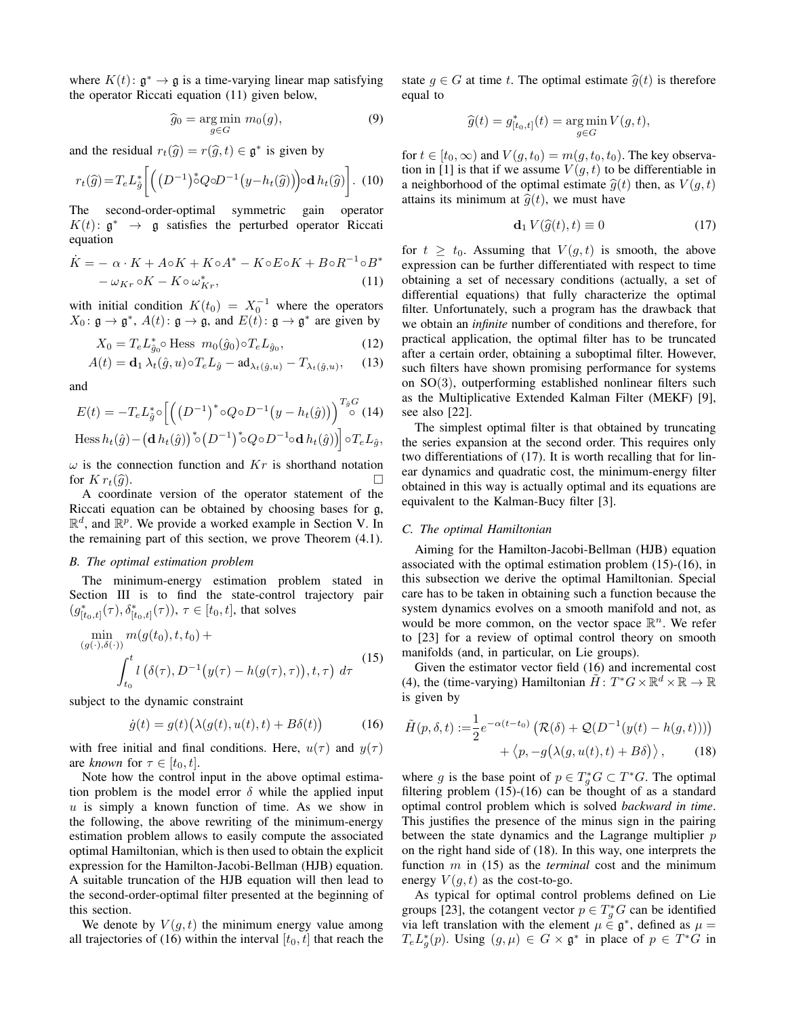where  $K(t)$ :  $\mathfrak{g}^* \to \mathfrak{g}$  is a time-varying linear map satisfying the operator Riccati equation (11) given below,

$$
\widehat{g}_0 = \underset{g \in G}{\arg \min} \ m_0(g),\tag{9}
$$

and the residual  $r_t(\hat{g}) = r(\hat{g}, t) \in \mathfrak{g}^*$  is given by

$$
r_t(\widehat{g}) = T_e L_{\widehat{g}}^* \left[ \left( \left( D^{-1} \right)^* Q \circ D^{-1} \left( y - h_t(\widehat{g}) \right) \right) \circ \mathbf{d} \, h_t(\widehat{g}) \right]. \tag{10}
$$

The second-order-optimal symmetric gain operator  $K(t)$ :  $\mathfrak{g}^* \rightarrow \mathfrak{g}$  satisfies the perturbed operator Riccati equation

$$
\dot{K} = -\alpha \cdot K + A \circ K + K \circ A^* - K \circ E \circ K + B \circ R^{-1} \circ B^* \n- \omega_{Kr} \circ K - K \circ \omega_{Kr}^*,
$$
\n(11)

with initial condition  $K(t_0) = X_0^{-1}$  where the operators  $X_0: \mathfrak{g} \to \mathfrak{g}^*, A(t): \mathfrak{g} \to \mathfrak{g}, \text{ and } E(t): \mathfrak{g} \to \mathfrak{g}^*$  are given by

$$
X_0 = T_e L_{\hat{g}_0}^* \circ \text{Hess } m_0(\hat{g}_0) \circ T_e L_{\hat{g}_0},\tag{12}
$$

$$
A(t) = \mathbf{d}_1 \lambda_t(\hat{g}, u) \circ T_e L_{\hat{g}} - \mathbf{ad}_{\lambda_t(\hat{g}, u)} - T_{\lambda_t(\hat{g}, u)}, \quad (13)
$$

and

$$
E(t) = -T_e L_{\hat{g}}^* \circ \left[ \left( \left( D^{-1} \right)^* \circ Q \circ D^{-1} \left( y - h_t(\hat{g}) \right) \right) \right]_{0}^{T_{\hat{g}}G} (14)
$$

Hess 
$$
h_t(\hat{g}) - (\mathbf{d} \, h_t(\hat{g}))^* \circ (D^{-1})^* \circ Q \circ D^{-1} \circ \mathbf{d} \, h_t(\hat{g}))
$$
 or  $l_t L_{\hat{g}}$ ,

 $\omega$  is the connection function and  $Kr$  is shorthand notation for  $K r_t(\hat{g})$ .  $\Box$ <br>A coordinate version of the operator statement of the

Riccati equation can be obtained by choosing bases for g,  $\mathbb{R}^d$ , and  $\mathbb{R}^p$ . We provide a worked example in Section V. In the remaining part of this section, we prove Theorem (4.1).

# *B. The optimal estimation problem*

The minimum-energy estimation problem stated in Section III is to find the state-control trajectory pair  $(g_{[t_0,t]}^*(\tau), \delta_{[t_0,t]}^*(\tau)), \tau \in [t_0,t]$ , that solves

$$
\min_{(g(\cdot),\delta(\cdot))} m(g(t_0),t,t_0) + \int_{t_0}^t l\left(\delta(\tau), D^{-1}\left(y(\tau) - h(g(\tau),\tau)\right), t, \tau\right) d\tau
$$
\n(15)

subject to the dynamic constraint

$$
\dot{g}(t) = g(t) \big( \lambda(g(t), u(t), t) + B\delta(t) \big) \tag{16}
$$

with free initial and final conditions. Here,  $u(\tau)$  and  $y(\tau)$ are *known* for  $\tau \in [t_0, t]$ .

Note how the control input in the above optimal estimation problem is the model error  $\delta$  while the applied input  $u$  is simply a known function of time. As we show in the following, the above rewriting of the minimum-energy estimation problem allows to easily compute the associated optimal Hamiltonian, which is then used to obtain the explicit expression for the Hamilton-Jacobi-Bellman (HJB) equation. A suitable truncation of the HJB equation will then lead to the second-order-optimal filter presented at the beginning of this section.

We denote by  $V(q, t)$  the minimum energy value among all trajectories of (16) within the interval  $[t_0, t]$  that reach the state  $q \in G$  at time t. The optimal estimate  $\hat{q}(t)$  is therefore equal to

$$
\widehat{g}(t)=g_{[t_0,t]}^*(t)=\mathop{\arg\min}_{g\in G}V(g,t),
$$

for  $t \in [t_0, \infty)$  and  $V(g, t_0) = m(g, t_0, t_0)$ . The key observation in [1] is that if we assume  $V(g, t)$  to be differentiable in a neighborhood of the optimal estimate  $\hat{g}(t)$  then, as  $V(g, t)$ attains its minimum at  $\hat{q}(t)$ , we must have

$$
\mathbf{d}_1 V(\hat{g}(t), t) \equiv 0 \tag{17}
$$

for  $t \geq t_0$ . Assuming that  $V(g, t)$  is smooth, the above expression can be further differentiated with respect to time obtaining a set of necessary conditions (actually, a set of differential equations) that fully characterize the optimal filter. Unfortunately, such a program has the drawback that we obtain an *infinite* number of conditions and therefore, for practical application, the optimal filter has to be truncated after a certain order, obtaining a suboptimal filter. However, such filters have shown promising performance for systems on SO(3), outperforming established nonlinear filters such as the Multiplicative Extended Kalman Filter (MEKF) [9], see also [22].

The simplest optimal filter is that obtained by truncating the series expansion at the second order. This requires only two differentiations of (17). It is worth recalling that for linear dynamics and quadratic cost, the minimum-energy filter obtained in this way is actually optimal and its equations are equivalent to the Kalman-Bucy filter [3].

#### *C. The optimal Hamiltonian*

Aiming for the Hamilton-Jacobi-Bellman (HJB) equation associated with the optimal estimation problem (15)-(16), in this subsection we derive the optimal Hamiltonian. Special care has to be taken in obtaining such a function because the system dynamics evolves on a smooth manifold and not, as would be more common, on the vector space  $\mathbb{R}^n$ . We refer to [23] for a review of optimal control theory on smooth manifolds (and, in particular, on Lie groups).

Given the estimator vector field (16) and incremental cost (4), the (time-varying) Hamiltonian  $\tilde{H}$ :  $T^*G \times \mathbb{R}^d \times \mathbb{R} \to \mathbb{R}$ is given by

$$
\tilde{H}(p,\delta,t) := \frac{1}{2}e^{-\alpha(t-t_0)}\left(\mathcal{R}(\delta) + \mathcal{Q}(D^{-1}(y(t) - h(g,t)))\right) \n+ \langle p, -g(\lambda(g, u(t), t) + B\delta)\rangle, \tag{18}
$$

where g is the base point of  $p \in T_g^* G \subset T^* G$ . The optimal filtering problem (15)-(16) can be thought of as a standard optimal control problem which is solved *backward in time*. This justifies the presence of the minus sign in the pairing between the state dynamics and the Lagrange multiplier  $p$ on the right hand side of (18). In this way, one interprets the function m in (15) as the *terminal* cost and the minimum energy  $V(g, t)$  as the cost-to-go.

As typical for optimal control problems defined on Lie groups [23], the cotangent vector  $p \in T_g^*G$  can be identified via left translation with the element  $\mu \in \mathfrak{g}^*$ , defined as  $\mu =$  $T_e L_g^*(p)$ . Using  $(g, \mu) \in G \times \mathfrak{g}^*$  in place of  $p \in T^*G$  in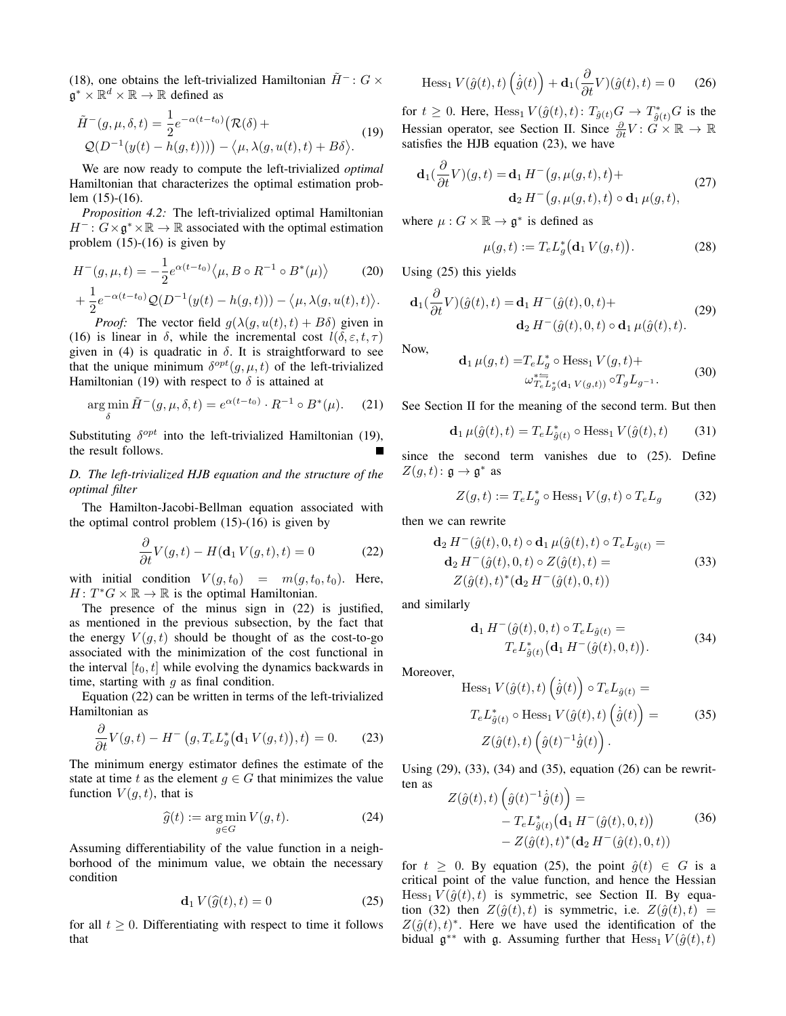(18), one obtains the left-trivialized Hamiltonian  $\tilde{H}^-$ :  $G \times$  $\mathfrak{g}^* \times \mathbb{R}^d \times \mathbb{R} \to \mathbb{R}$  defined as

$$
\tilde{H}^-(g,\mu,\delta,t) = \frac{1}{2}e^{-\alpha(t-t_0)}(\mathcal{R}(\delta) + \mathcal{Q}(D^{-1}(y(t) - h(g,t)))) - \langle \mu, \lambda(g, u(t), t) + B\delta \rangle.
$$
\n(19)

We are now ready to compute the left-trivialized *optimal* Hamiltonian that characterizes the optimal estimation problem (15)-(16).

*Proposition 4.2:* The left-trivialized optimal Hamiltonian  $H^-$ :  $G \times \mathfrak{g}^* \times \mathbb{R} \to \mathbb{R}$  associated with the optimal estimation problem  $(15)-(16)$  is given by

$$
H^{-}(g, \mu, t) = -\frac{1}{2} e^{\alpha(t - t_{0})} \langle \mu, B \circ R^{-1} \circ B^{*}(\mu) \rangle \qquad (20)
$$

$$
+ \frac{1}{2} e^{-\alpha(t - t_{0})} \mathcal{Q}(D^{-1}(y(t) - h(g, t))) - \langle \mu, \lambda(g, u(t), t) \rangle.
$$

*Proof:* The vector field  $g(\lambda(g, u(t), t) + B\delta)$  given in (16) is linear in  $\delta$ , while the incremental cost  $l(\delta, \varepsilon, t, \tau)$ given in (4) is quadratic in  $\delta$ . It is straightforward to see that the unique minimum  $\delta^{opt}(g, \mu, t)$  of the left-trivialized Hamiltonian (19) with respect to  $\delta$  is attained at

$$
\underset{\delta}{\arg\min} \tilde{H}^-(g,\mu,\delta,t) = e^{\alpha(t-t_0)} \cdot R^{-1} \circ B^*(\mu). \tag{21}
$$

Substituting  $\delta^{opt}$  into the left-trivialized Hamiltonian (19), the result follows.

*D. The left-trivialized HJB equation and the structure of the optimal filter*

The Hamilton-Jacobi-Bellman equation associated with the optimal control problem  $(15)-(16)$  is given by

$$
\frac{\partial}{\partial t}V(g,t) - H(\mathbf{d}_1 V(g,t),t) = 0 \tag{22}
$$

with initial condition  $V(g, t_0) = m(g, t_0, t_0)$ . Here,  $H: T^*G \times \mathbb{R} \to \mathbb{R}$  is the optimal Hamiltonian.

The presence of the minus sign in (22) is justified, as mentioned in the previous subsection, by the fact that the energy  $V(g, t)$  should be thought of as the cost-to-go associated with the minimization of the cost functional in the interval  $[t_0, t]$  while evolving the dynamics backwards in time, starting with  $q$  as final condition.

Equation (22) can be written in terms of the left-trivialized Hamiltonian as

$$
\frac{\partial}{\partial t}V(g,t) - H^-(g, T_e L_g^*(\mathbf{d}_1 V(g,t)),t) = 0.
$$
 (23)

The minimum energy estimator defines the estimate of the state at time t as the element  $q \in G$  that minimizes the value function  $V(g, t)$ , that is

$$
\widehat{g}(t) := \underset{g \in G}{\text{arg min}} \, V(g, t). \tag{24}
$$

Assuming differentiability of the value function in a neighborhood of the minimum value, we obtain the necessary condition

$$
\mathbf{d}_1 V(\widehat{g}(t), t) = 0 \tag{25}
$$

for all  $t \geq 0$ . Differentiating with respect to time it follows that

$$
\text{Hess}_{1} V(\hat{g}(t), t) \left(\dot{\hat{g}}(t)\right) + \mathbf{d}_{1} \left(\frac{\partial}{\partial t} V\right)(\hat{g}(t), t) = 0 \quad (26)
$$

for  $t \geq 0$ . Here,  $Hess_1 V(\hat{g}(t), t)$ :  $T_{\hat{g}(t)}G \to T_{\hat{g}(t)}^*G$  is the Hessian operator, see Section II. Since  $\frac{\partial}{\partial t}V : G \times \mathbb{R} \to \mathbb{R}$ satisfies the HJB equation (23), we have

$$
\mathbf{d}_1(\frac{\partial}{\partial t}V)(g,t) = \mathbf{d}_1 H^-(g,\mu(g,t),t) +
$$
  

$$
\mathbf{d}_2 H^-(g,\mu(g,t),t) \circ \mathbf{d}_1 \mu(g,t),
$$
 (27)

where  $\mu: G \times \mathbb{R} \to \mathfrak{g}^*$  is defined as

$$
\mu(g, t) := T_e L_g^* \big( \mathbf{d}_1 V(g, t) \big). \tag{28}
$$

Using (25) this yields

$$
\mathbf{d}_1(\frac{\partial}{\partial t}V)(\hat{g}(t),t) = \mathbf{d}_1 H^-(\hat{g}(t),0,t) +
$$
  

$$
\mathbf{d}_2 H^-(\hat{g}(t),0,t) \circ \mathbf{d}_1 \mu(\hat{g}(t),t).
$$
 (29)

Now,

$$
\mathbf{d}_1 \,\mu(g,t) = T_e L_g^* \circ \text{Hess}_1 \, V(g,t) +
$$
  
\n
$$
\omega_{T_e L_g^* (\mathbf{d}_1 \, V(g,t))}^* \circ T_g L_{g^{-1}}.
$$
\n(30)

See Section II for the meaning of the second term. But then

$$
\mathbf{d}_1 \,\mu(\hat{g}(t),t) = T_e L^*_{\hat{g}(t)} \circ \text{Hess}_1 \, V(\hat{g}(t),t) \tag{31}
$$

since the second term vanishes due to (25). Define  $Z(g,t): \mathfrak{g} \to \mathfrak{g}^*$  as

$$
Z(g,t) := T_e L_g^* \circ \text{Hess}_1 V(g,t) \circ T_e L_g \tag{32}
$$

then we can rewrite

$$
\mathbf{d}_2 H^{-}(\hat{g}(t), 0, t) \circ \mathbf{d}_1 \mu(\hat{g}(t), t) \circ T_e L_{\hat{g}(t)} = \n\mathbf{d}_2 H^{-}(\hat{g}(t), 0, t) \circ Z(\hat{g}(t), t) = \nZ(\hat{g}(t), t)^*(\mathbf{d}_2 H^{-}(\hat{g}(t), 0, t))
$$
\n(33)

and similarly

$$
\mathbf{d}_1 H^{-}(\hat{g}(t), 0, t) \circ T_e L_{\hat{g}(t)} =
$$
  
\n
$$
T_e L_{\hat{g}(t)}^{*} (\mathbf{d}_1 H^{-}(\hat{g}(t), 0, t)).
$$
\n(34)

Moreover,

$$
\text{Hess}_{1} V(\hat{g}(t), t) \left( \dot{\hat{g}}(t) \right) \circ T_{e} L_{\hat{g}(t)} =
$$
\n
$$
T_{e} L_{\hat{g}(t)}^{*} \circ \text{Hess}_{1} V(\hat{g}(t), t) \left( \dot{\hat{g}}(t) \right) =
$$
\n
$$
Z(\hat{g}(t), t) \left( \hat{g}(t)^{-1} \dot{\hat{g}}(t) \right).
$$
\n(35)

Using (29), (33), (34) and (35), equation (26) can be rewritten as  $\mathcal{L}$ 

$$
Z(\hat{g}(t), t) \left( \hat{g}(t)^{-1} \dot{\hat{g}}(t) \right) =
$$
  
-  $T_e L_{\hat{g}(t)}^* (\mathbf{d}_1 H^-(\hat{g}(t), 0, t))$  (36)  
-  $Z(\hat{g}(t), t)^* (\mathbf{d}_2 H^-(\hat{g}(t), 0, t))$ 

for  $t \geq 0$ . By equation (25), the point  $\hat{g}(t) \in G$  is a critical point of the value function, and hence the Hessian  $Hess<sub>1</sub> V(\hat{g}(t), t)$  is symmetric, see Section II. By equation (32) then  $Z(\hat{g}(t), t)$  is symmetric, i.e.  $Z(\hat{g}(t), t)$  =  $Z(\hat{g}(t), t)^*$ . Here we have used the identification of the bidual  $\mathfrak{g}^{**}$  with  $\mathfrak{g}$ . Assuming further that  $Hess_1 V(\hat{g}(t), t)$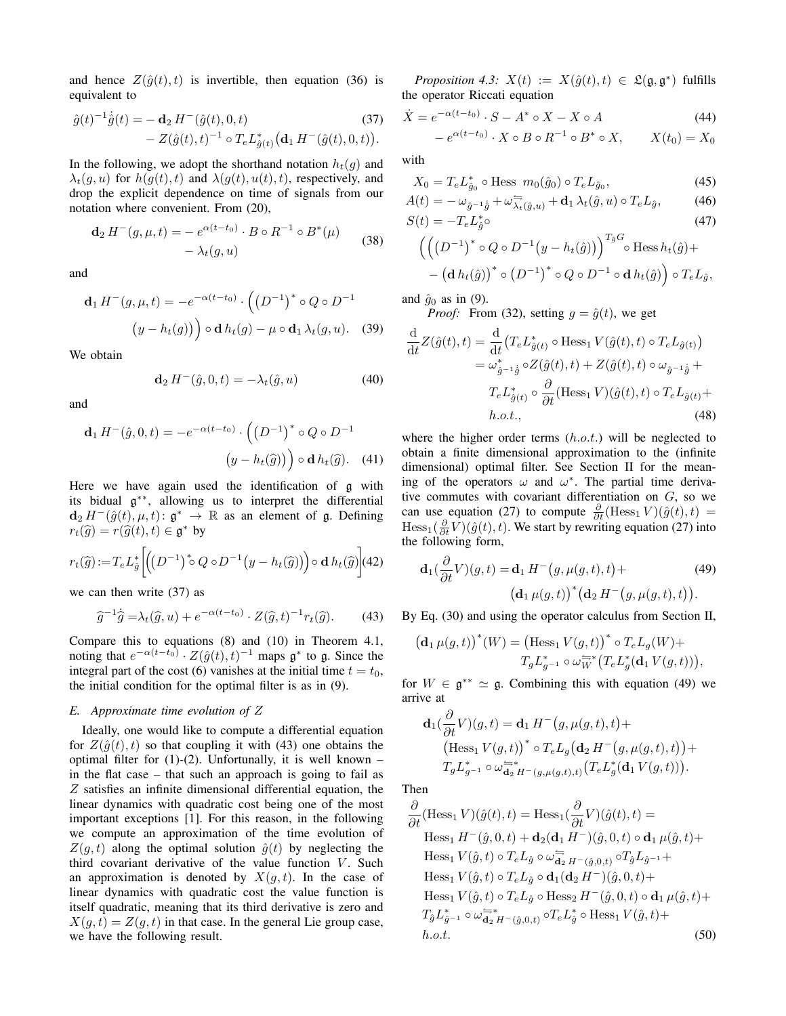and hence  $Z(\hat{q}(t), t)$  is invertible, then equation (36) is equivalent to

$$
\hat{g}(t)^{-1}\dot{\hat{g}}(t) = -\mathbf{d}_2 H^{-}(\hat{g}(t), 0, t)
$$
\n
$$
- Z(\hat{g}(t), t)^{-1} \circ T_e L_{\hat{g}(t)}^* \big(\mathbf{d}_1 H^{-}(\hat{g}(t), 0, t)\big).
$$
\n(37)

In the following, we adopt the shorthand notation  $h_t(g)$  and  $\lambda_t(g, u)$  for  $h(g(t), t)$  and  $\lambda(g(t), u(t), t)$ , respectively, and drop the explicit dependence on time of signals from our notation where convenient. From (20),

$$
\mathbf{d}_2 H^{-}(g, \mu, t) = - e^{\alpha(t - t_0)} \cdot B \circ R^{-1} \circ B^*(\mu) - \lambda_t(g, u)
$$
 (38)

and

$$
\mathbf{d}_1 H^-(g, \mu, t) = -e^{-\alpha(t - t_0)} \cdot \left( \left( D^{-1} \right)^* \circ Q \circ D^{-1} \right)
$$

$$
(y - h_t(g)) \circ \mathbf{d} h_t(g) - \mu \circ \mathbf{d}_1 \lambda_t(g, u). \quad (39)
$$

We obtain

$$
\mathbf{d}_2 H^{-}(\hat{g}, 0, t) = -\lambda_t(\hat{g}, u) \tag{40}
$$

and

$$
\mathbf{d}_1 H^-(\hat{g}, 0, t) = -e^{-\alpha(t - t_0)} \cdot \left( \left( D^{-1} \right)^* \circ Q \circ D^{-1} \right)
$$

$$
\left( y - h_t(\hat{g}) \right) \circ \mathbf{d} \, h_t(\hat{g}). \tag{41}
$$

Here we have again used the identification of g with its bidual g ∗∗, allowing us to interpret the differential  $\mathbf{d}_2 H^{-}(\hat{g}(t), \mu, t) \colon \mathfrak{g}^* \to \mathbb{R}$  as an element of  $\mathfrak{g}$ . Defining  $r_t(\widehat{g}) = r(\widehat{g}(t), t) \in \mathfrak{g}^*$  by

$$
r_t(\widehat{g})\!:=\!T_eL_{\widehat{g}}^*\left[\!\left(\!\left(D^{-1}\right)^*\!\!\circ Q\circ D^{-1}\!\left(y-h_t(\widehat{g})\right)\!\right)\!\circ \mathbf{d}\,h_t(\widehat{g})\!\right]\!(42)
$$

we can then write (37) as

$$
\widehat{g}^{-1}\widehat{g} = \lambda_t(\widehat{g}, u) + e^{-\alpha(t - t_0)} \cdot Z(\widehat{g}, t)^{-1} r_t(\widehat{g}). \tag{43}
$$

Compare this to equations (8) and (10) in Theorem 4.1, noting that  $e^{-\alpha(t-t_0)} \cdot Z(\hat{g}(t), t)^{-1}$  maps  $\mathfrak{g}^*$  to  $\mathfrak{g}$ . Since the integral part of the cost (6) vanishes at the initial time  $t = t_0$ , the initial condition for the optimal filter is as in (9).

# *E. Approximate time evolution of* Z

Ideally, one would like to compute a differential equation for  $Z(\hat{q}(t), t)$  so that coupling it with (43) one obtains the optimal filter for  $(1)-(2)$ . Unfortunally, it is well known – in the flat case – that such an approach is going to fail as Z satisfies an infinite dimensional differential equation, the linear dynamics with quadratic cost being one of the most important exceptions [1]. For this reason, in the following we compute an approximation of the time evolution of  $Z(q, t)$  along the optimal solution  $\hat{g}(t)$  by neglecting the third covariant derivative of the value function  $V$ . Such an approximation is denoted by  $X(g, t)$ . In the case of linear dynamics with quadratic cost the value function is itself quadratic, meaning that its third derivative is zero and  $X(g, t) = Z(g, t)$  in that case. In the general Lie group case, we have the following result.

*Proposition 4.3:*  $X(t) := X(\hat{g}(t), t) \in \mathfrak{L}(\mathfrak{g}, \mathfrak{g}^*)$  fulfills the operator Riccati equation

$$
\dot{X} = e^{-\alpha(t-t_0)} \cdot S - A^* \circ X - X \circ A \tag{44}
$$

$$
- e^{\alpha(t-t_0)} \cdot X \circ B \circ R^{-1} \circ B^* \circ X, \qquad X(t_0) = X_0
$$

with

$$
X_0 = T_e L_{\hat{g}_0}^* \circ \text{Hess } m_0(\hat{g}_0) \circ T_e L_{\hat{g}_0}, \tag{45}
$$

$$
A(t) = -\omega_{\hat{g}^{-1}\hat{g}} + \omega_{\lambda_t(\hat{g},u)}^- + \mathbf{d}_1 \lambda_t(\hat{g},u) \circ T_e L_{\hat{g}},\tag{46}
$$

$$
S(t) = -T_e L_{\hat{g}}^* \tag{47}
$$

$$
\left(\left(\left(D^{-1}\right)^* \circ Q \circ D^{-1}\left(y - h_t(\hat{g})\right)\right)^{1_{\hat{g}}G} \circ \text{Hess}\,h_t(\hat{g}) + \\ - \left(\mathbf{d}\,h_t(\hat{g})\right)^* \circ \left(D^{-1}\right)^* \circ Q \circ D^{-1} \circ \mathbf{d}\,h_t(\hat{g})\right) \circ T_e L_{\hat{g}},
$$

and  $\hat{g}_0$  as in (9).

*Proof:* From (32), setting  $g = \hat{g}(t)$ , we get

$$
\frac{\mathrm{d}}{\mathrm{d}t}Z(\hat{g}(t),t) = \frac{\mathrm{d}}{\mathrm{d}t}(T_e L_{\hat{g}(t)}^* \circ \text{Hess}_1 V(\hat{g}(t),t) \circ T_e L_{\hat{g}(t)})
$$
\n
$$
= \omega_{\hat{g}^{-1}\hat{g}}^* \circ Z(\hat{g}(t),t) + Z(\hat{g}(t),t) \circ \omega_{\hat{g}^{-1}\hat{g}} + T_e L_{\hat{g}(t)}^* \circ \frac{\partial}{\partial t}(\text{Hess}_1 V)(\hat{g}(t),t) \circ T_e L_{\hat{g}(t)} + h.o.t.,
$$
\n(48)

where the higher order terms  $(h.o.t.)$  will be neglected to obtain a finite dimensional approximation to the (infinite dimensional) optimal filter. See Section II for the meaning of the operators  $\omega$  and  $\omega^*$ . The partial time derivative commutes with covariant differentiation on  $G$ , so we can use equation (27) to compute  $\frac{\partial}{\partial t}(\text{Hess}_{1} V)(\hat{g}(t), t) =$  $Hess_1(\frac{\partial}{\partial t}V)(\hat{g}(t), t)$ . We start by rewriting equation (27) into the following form,

$$
\mathbf{d}_1(\frac{\partial}{\partial t}V)(g,t) = \mathbf{d}_1 H^-(g,\mu(g,t),t) +
$$
\n
$$
(\mathbf{d}_1 \mu(g,t))^* (\mathbf{d}_2 H^-(g,\mu(g,t),t)).
$$
\n(49)

By Eq. (30) and using the operator calculus from Section II,

$$
\big(\mathbf{d}_1\,\mu(g,t)\big)^*(W) = \big(\text{Hess}_1\,V(g,t)\big)^*\circ T_eL_g(W) +
$$
  

$$
T_gL_{g^{-1}}^*\circ\omega_W^{\overleftarrow{W}}\big(T_eL_g^*(\mathbf{d}_1\,V(g,t))\big),
$$

for  $W \in \mathfrak{g}^{**} \simeq \mathfrak{g}$ . Combining this with equation (49) we arrive at

$$
\mathbf{d}_1(\frac{\partial}{\partial t}V)(g,t) = \mathbf{d}_1 H^-(g,\mu(g,t),t) +
$$
  
\n
$$
(\text{Hess}_1 V(g,t))^* \circ T_e L_g \big(\mathbf{d}_2 H^-(g,\mu(g,t),t)\big) +
$$
  
\n
$$
T_g L_{g^{-1}}^* \circ \omega_{\mathbf{d}_2 H^-(g,\mu(g,t),t)}^{=*} \big(T_e L_g^*(\mathbf{d}_1 V(g,t))\big).
$$

Then

$$
\frac{\partial}{\partial t}(\text{Hess}_{1} V)(\hat{g}(t), t) = \text{Hess}_{1}(\frac{\partial}{\partial t} V)(\hat{g}(t), t) =
$$
\n
$$
\text{Hess}_{1} H^{-}(\hat{g}, 0, t) + \mathbf{d}_{2}(\mathbf{d}_{1} H^{-})(\hat{g}, 0, t) \circ \mathbf{d}_{1} \mu(\hat{g}, t) +
$$
\n
$$
\text{Hess}_{1} V(\hat{g}, t) \circ T_{e} L_{\hat{g}} \circ \omega_{\mathbf{d}_{2} H^{-}(\hat{g}, 0, t)}^{-} \circ T_{\hat{g}} L_{\hat{g}}^{-1} +
$$
\n
$$
\text{Hess}_{1} V(\hat{g}, t) \circ T_{e} L_{\hat{g}} \circ \mathbf{d}_{1}(\mathbf{d}_{2} H^{-})(\hat{g}, 0, t) +
$$
\n
$$
\text{Hess}_{1} V(\hat{g}, t) \circ T_{e} L_{\hat{g}} \circ \text{Hess}_{2} H^{-}(\hat{g}, 0, t) \circ \mathbf{d}_{1} \mu(\hat{g}, t) +
$$
\n
$$
T_{\hat{g}} L_{\hat{g}^{-1}}^{*} \circ \omega_{\mathbf{d}_{2} H^{-}(\hat{g}, 0, t)}^{-} \circ T_{e} L_{\hat{g}}^{*} \circ \text{Hess}_{1} V(\hat{g}, t) +
$$
\nh.o.t. (50)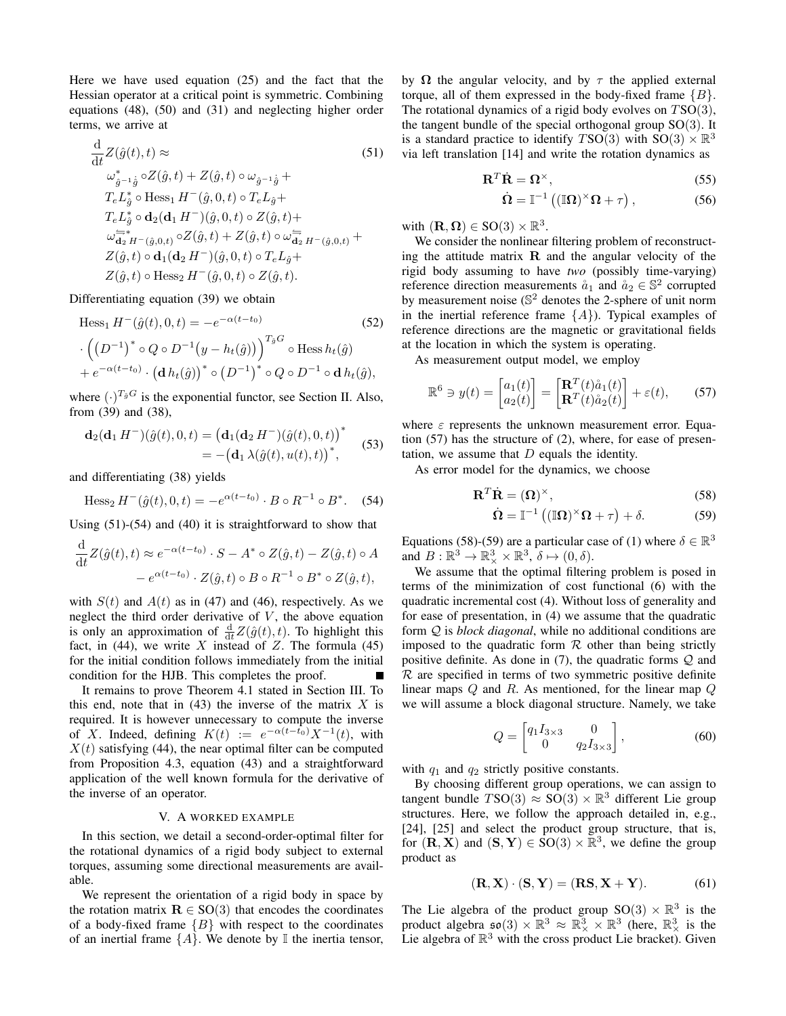Here we have used equation (25) and the fact that the Hessian operator at a critical point is symmetric. Combining equations (48), (50) and (31) and neglecting higher order terms, we arrive at

$$
\frac{\mathrm{d}}{\mathrm{d}t} Z(\hat{g}(t), t) \approx \tag{51}
$$
\n
$$
\omega_{\hat{g}^{-1}\hat{g}}^* \circ Z(\hat{g}, t) + Z(\hat{g}, t) \circ \omega_{\hat{g}^{-1}\hat{g}} +
$$
\n
$$
T_e L_{\hat{g}}^* \circ \text{Hess}_1 H^-(\hat{g}, 0, t) \circ T_e L_{\hat{g}} +
$$
\n
$$
T_e L_{\hat{g}}^* \circ \mathbf{d}_2(\mathbf{d}_1 H^-)(\hat{g}, 0, t) \circ Z(\hat{g}, t) +
$$
\n
$$
\omega_{\mathbf{d}_2}^{\equiv *} H^-(\hat{g}, 0, t) \circ Z(\hat{g}, t) + Z(\hat{g}, t) \circ \omega_{\mathbf{d}_2}^{\equiv *} H^-(\hat{g}, 0, t) +
$$
\n
$$
Z(\hat{g}, t) \circ \mathbf{d}_1(\mathbf{d}_2 H^-)(\hat{g}, 0, t) \circ T_e L_{\hat{g}} +
$$
\n
$$
Z(\hat{g}, t) \circ \text{Hess}_2 H^-(\hat{g}, 0, t) \circ Z(\hat{g}, t).
$$
\n(51)

Differentiating equation (39) we obtain

$$
\begin{aligned} \text{Hess}_{1} \, H^{-}(\hat{g}(t), 0, t) &= -e^{-\alpha(t - t_{0})} \qquad (52) \\ \cdot \left( \left( D^{-1} \right)^{*} \circ Q \circ D^{-1} \left( y - h_{t}(\hat{g}) \right) \right)^{T_{\hat{g}}G} \circ \text{Hess}\, h_{t}(\hat{g}) \\ &+ e^{-\alpha(t - t_{0})} \cdot \left( \mathbf{d}\, h_{t}(\hat{g}) \right)^{*} \circ \left( D^{-1} \right)^{*} \circ Q \circ D^{-1} \circ \mathbf{d}\, h_{t}(\hat{g}), \end{aligned}
$$

where  $(\cdot)^{T_{\hat{g}}G}$  is the exponential functor, see Section II. Also, from (39) and (38),

$$
\mathbf{d}_2(\mathbf{d}_1 H^-) (\hat{g}(t), 0, t) = (\mathbf{d}_1(\mathbf{d}_2 H^-) (\hat{g}(t), 0, t))^*
$$
  
= -(\mathbf{d}\_1 \lambda (\hat{g}(t), u(t), t))^\*, (53)

and differentiating (38) yields

Hess<sub>2</sub> 
$$
H^{-}(\hat{g}(t), 0, t) = -e^{\alpha(t-t_0)} \cdot B \circ R^{-1} \circ B^*
$$
. (54)

Using (51)-(54) and (40) it is straightforward to show that

$$
\frac{\mathrm{d}}{\mathrm{d}t}Z(\hat{g}(t),t) \approx e^{-\alpha(t-t_0)} \cdot S - A^* \circ Z(\hat{g},t) - Z(\hat{g},t) \circ A
$$

$$
-e^{\alpha(t-t_0)} \cdot Z(\hat{g},t) \circ B \circ R^{-1} \circ B^* \circ Z(\hat{g},t),
$$

with  $S(t)$  and  $A(t)$  as in (47) and (46), respectively. As we neglect the third order derivative of  $V$ , the above equation is only an approximation of  $\frac{d}{dt}Z(\hat{g}(t), t)$ . To highlight this fact, in (44), we write X instead of Z. The formula (45) for the initial condition follows immediately from the initial condition for the HJB. This completes the proof.

It remains to prove Theorem 4.1 stated in Section III. To this end, note that in  $(43)$  the inverse of the matrix X is required. It is however unnecessary to compute the inverse of X. Indeed, defining  $K(t) := e^{-\alpha(t-t_0)} X^{-1}(t)$ , with  $X(t)$  satisfying (44), the near optimal filter can be computed from Proposition 4.3, equation (43) and a straightforward application of the well known formula for the derivative of the inverse of an operator.

# V. A WORKED EXAMPLE

In this section, we detail a second-order-optimal filter for the rotational dynamics of a rigid body subject to external torques, assuming some directional measurements are available.

We represent the orientation of a rigid body in space by the rotation matrix  $\mathbf{R} \in SO(3)$  that encodes the coordinates of a body-fixed frame  ${B}$  with respect to the coordinates of an inertial frame  $\{A\}$ . We denote by  $\mathbb I$  the inertia tensor, by  $\Omega$  the angular velocity, and by  $\tau$  the applied external torque, all of them expressed in the body-fixed frame  ${B}$ . The rotational dynamics of a rigid body evolves on  $TSO(3)$ , the tangent bundle of the special orthogonal group  $SO(3)$ . It is a standard practice to identify  $TSO(3)$  with  $SO(3) \times \mathbb{R}^3$ via left translation [14] and write the rotation dynamics as

$$
\mathbf{R}^T \dot{\mathbf{R}} = \mathbf{\Omega}^\times,\tag{55}
$$

$$
\dot{\Omega} = \mathbb{I}^{-1} \left( (\mathbb{I}\Omega)^{\times} \Omega + \tau \right), \tag{56}
$$

with  $(\mathbf{R}, \mathbf{\Omega}) \in \text{SO}(3) \times \mathbb{R}^3$ .

We consider the nonlinear filtering problem of reconstructing the attitude matrix  $\bf{R}$  and the angular velocity of the rigid body assuming to have *two* (possibly time-varying) reference direction measurements  $\aa_1$  and  $\aa_2 \in \mathbb{S}^2$  corrupted by measurement noise (S <sup>2</sup> denotes the 2-sphere of unit norm in the inertial reference frame  ${A}$ ). Typical examples of reference directions are the magnetic or gravitational fields at the location in which the system is operating.

As measurement output model, we employ

$$
\mathbb{R}^6 \ni y(t) = \begin{bmatrix} a_1(t) \\ a_2(t) \end{bmatrix} = \begin{bmatrix} \mathbf{R}^T(t)\mathring{a}_1(t) \\ \mathbf{R}^T(t)\mathring{a}_2(t) \end{bmatrix} + \varepsilon(t), \quad (57)
$$

where  $\varepsilon$  represents the unknown measurement error. Equation (57) has the structure of (2), where, for ease of presentation, we assume that D equals the identity.

As error model for the dynamics, we choose

$$
\mathbf{R}^T \dot{\mathbf{R}} = (\mathbf{\Omega})^\times, \tag{58}
$$

$$
\dot{\Omega} = \mathbb{I}^{-1} \left( (\mathbb{I}\Omega)^{\times} \Omega + \tau \right) + \delta. \tag{59}
$$

Equations (58)-(59) are a particular case of (1) where  $\delta \in \mathbb{R}^3$ and  $B: \mathbb{R}^3 \to \mathbb{R}^3_\times \times \mathbb{R}^3$ ,  $\delta \mapsto (0, \delta)$ .

We assume that the optimal filtering problem is posed in terms of the minimization of cost functional (6) with the quadratic incremental cost (4). Without loss of generality and for ease of presentation, in (4) we assume that the quadratic form Q is *block diagonal*, while no additional conditions are imposed to the quadratic form  $R$  other than being strictly positive definite. As done in  $(7)$ , the quadratic forms  $\mathcal{Q}$  and  $R$  are specified in terms of two symmetric positive definite linear maps  $Q$  and  $R$ . As mentioned, for the linear map  $Q$ we will assume a block diagonal structure. Namely, we take

$$
Q = \begin{bmatrix} q_1 I_{3 \times 3} & 0 \\ 0 & q_2 I_{3 \times 3} \end{bmatrix},
$$
 (60)

with  $q_1$  and  $q_2$  strictly positive constants.

By choosing different group operations, we can assign to tangent bundle  $TSO(3) \approx SO(3) \times \mathbb{R}^3$  different Lie group structures. Here, we follow the approach detailed in, e.g., [24], [25] and select the product group structure, that is, for  $(\mathbf{R}, \mathbf{X})$  and  $(\mathbf{S}, \mathbf{Y}) \in SO(3) \times \mathbb{R}^3$ , we define the group product as

$$
(\mathbf{R}, \mathbf{X}) \cdot (\mathbf{S}, \mathbf{Y}) = (\mathbf{R}\mathbf{S}, \mathbf{X} + \mathbf{Y}). \tag{61}
$$

The Lie algebra of the product group  $SO(3) \times \mathbb{R}^3$  is the product algebra  $\mathfrak{so}(3) \times \mathbb{R}^3 \approx \mathbb{R}^3 \times \mathbb{R}^3$  (here,  $\mathbb{R}^3 \times$  is the Lie algebra of  $\mathbb{R}^3$  with the cross product Lie bracket). Given